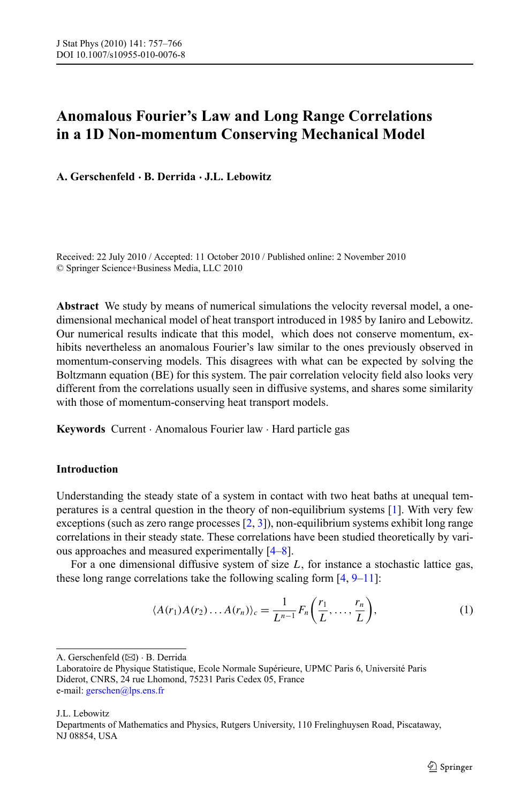# **Anomalous Fourier's Law and Long Range Correlations in a 1D Non-momentum Conserving Mechanical Model**

**A. Gerschenfeld · B. Derrida · J.L. Lebowitz**

Received: 22 July 2010 / Accepted: 11 October 2010 / Published online: 2 November 2010 © Springer Science+Business Media, LLC 2010

**Abstract** We study by means of numerical simulations the velocity reversal model, a onedimensional mechanical model of heat transport introduced in 1985 by Ianiro and Lebowitz. Our numerical results indicate that this model, which does not conserve momentum, exhibits nevertheless an anomalous Fourier's law similar to the ones previously observed in momentum-conserving models. This disagrees with what can be expected by solving the Boltzmann equation (BE) for this system. The pair correlation velocity field also looks very different from the correlations usually seen in diffusive systems, and shares some similarity with those of momentum-conserving heat transport models.

**Keywords** Current · Anomalous Fourier law · Hard particle gas

## **Introduction**

Understanding the steady state of a system in contact with two heat baths at unequal temperatures is a central question in the theory of non-equilibrium systems [\[1\]](#page-7-0). With very few exceptions (such as zero range processes [\[2](#page-7-1), [3](#page-8-0)]), non-equilibrium systems exhibit long range correlations in their steady state. These correlations have been studied theoretically by various approaches and measured experimentally [\[4–](#page-8-1)[8](#page-8-2)].

For a one dimensional diffusive system of size *L*, for instance a stochastic lattice gas, these long range correlations take the following scaling form [\[4](#page-8-1), [9](#page-8-3)[–11\]](#page-8-4):

<span id="page-0-0"></span>
$$
\langle A(r_1)A(r_2)\dots A(r_n)\rangle_c = \frac{1}{L^{n-1}}F_n\bigg(\frac{r_1}{L},\dots,\frac{r_n}{L}\bigg),\tag{1}
$$

A. Gerschenfeld ( $\boxtimes$ ) · B. Derrida

J.L. Lebowitz

Departments of Mathematics and Physics, Rutgers University, 110 Frelinghuysen Road, Piscataway, NJ 08854, USA

Laboratoire de Physique Statistique, Ecole Normale Supérieure, UPMC Paris 6, Université Paris Diderot, CNRS, 24 rue Lhomond, 75231 Paris Cedex 05, France e-mail: [gerschen@lps.ens.fr](mailto:gerschen@lps.ens.fr)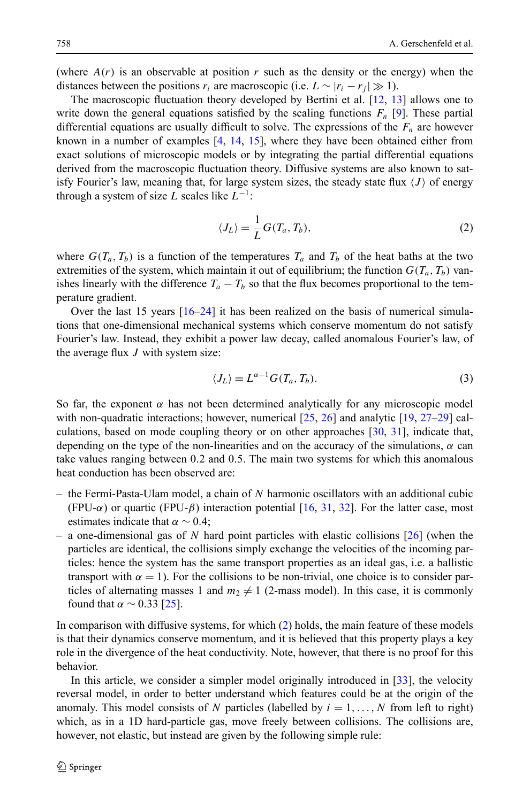(where  $A(r)$  is an observable at position r such as the density or the energy) when the distances between the positions  $r_i$  are macroscopic (i.e.  $L \sim |r_i - r_j| \gg 1$ ).

The macroscopic fluctuation theory developed by Bertini et al. [\[12,](#page-8-5) [13\]](#page-8-6) allows one to write down the general equations satisfied by the scaling functions  $F_n$  [[9](#page-8-3)]. These partial differential equations are usually difficult to solve. The expressions of the  $F_n$  are however known in a number of examples [\[4,](#page-8-1) [14](#page-8-7), [15\]](#page-8-8), where they have been obtained either from exact solutions of microscopic models or by integrating the partial differential equations derived from the macroscopic fluctuation theory. Diffusive systems are also known to satisfy Fourier's law, meaning that, for large system sizes, the steady state flux  $\langle J \rangle$  of energy through a system of size *L* scales like  $L^{-1}$ :

<span id="page-1-1"></span><span id="page-1-0"></span>
$$
\langle J_L \rangle = \frac{1}{L} G(T_a, T_b),\tag{2}
$$

where  $G(T_a, T_b)$  is a function of the temperatures  $T_a$  and  $T_b$  of the heat baths at the two extremities of the system, which maintain it out of equilibrium; the function  $G(T_a, T_b)$  vanishes linearly with the difference  $T_a - T_b$  so that the flux becomes proportional to the temperature gradient.

Over the last 15 years  $[16–24]$  $[16–24]$  $[16–24]$  it has been realized on the basis of numerical simulations that one-dimensional mechanical systems which conserve momentum do not satisfy Fourier's law. Instead, they exhibit a power law decay, called anomalous Fourier's law, of the average flux *J* with system size:

$$
\langle J_L \rangle = L^{\alpha - 1} G(T_a, T_b). \tag{3}
$$

So far, the exponent  $\alpha$  has not been determined analytically for any microscopic model with non-quadratic interactions; however, numerical [[25](#page-8-11), [26\]](#page-8-12) and analytic [\[19,](#page-8-13) [27](#page-8-14)–[29](#page-8-15)] calculations, based on mode coupling theory or on other approaches [\[30,](#page-8-16) [31\]](#page-8-17), indicate that, depending on the type of the non-linearities and on the accuracy of the simulations, *α* can take values ranging between 0*.*2 and 0*.*5. The main two systems for which this anomalous heat conduction has been observed are:

- the Fermi-Pasta-Ulam model, a chain of *N* harmonic oscillators with an additional cubic (FPU- $\alpha$ ) or quartic (FPU- $\beta$ ) interaction potential [\[16,](#page-8-9) [31,](#page-8-17) [32\]](#page-8-18). For the latter case, most estimates indicate that  $\alpha \sim 0.4$ ;
- a one-dimensional gas of *N* hard point particles with elastic collisions [\[26](#page-8-12)] (when the particles are identical, the collisions simply exchange the velocities of the incoming particles: hence the system has the same transport properties as an ideal gas, i.e. a ballistic transport with  $\alpha = 1$ ). For the collisions to be non-trivial, one choice is to consider particles of alternating masses 1 and  $m_2 \neq 1$  (2-mass model). In this case, it is commonly found that  $\alpha \sim 0.33$  [[25](#page-8-11)].

In comparison with diffusive systems, for which [\(2](#page-1-0)) holds, the main feature of these models is that their dynamics conserve momentum, and it is believed that this property plays a key role in the divergence of the heat conductivity. Note, however, that there is no proof for this behavior.

In this article, we consider a simpler model originally introduced in [\[33\]](#page-9-0), the velocity reversal model, in order to better understand which features could be at the origin of the anomaly. This model consists of *N* particles (labelled by  $i = 1, \ldots, N$  from left to right) which, as in a 1D hard-particle gas, move freely between collisions. The collisions are, however, not elastic, but instead are given by the following simple rule: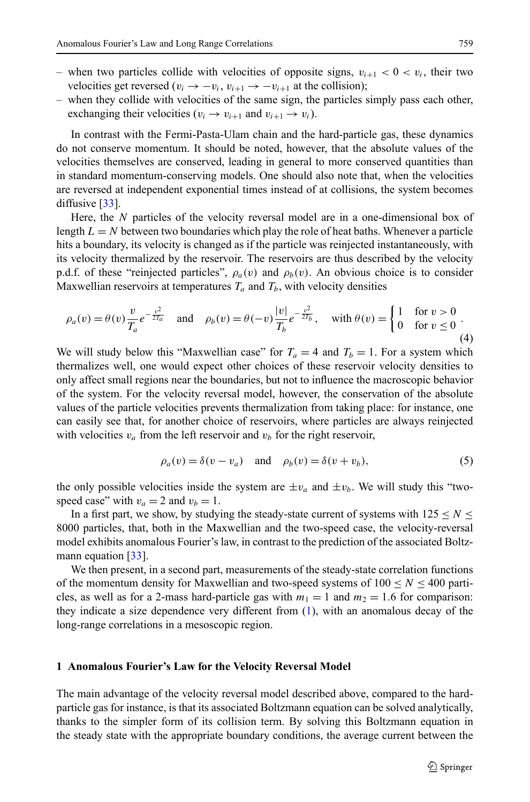- when two particles collide with velocities of opposite signs,  $v_{i+1} < 0 < v_i$ , their two velocities get reversed ( $v_i \rightarrow -v_i$ ,  $v_{i+1} \rightarrow -v_{i+1}$  at the collision);
- when they collide with velocities of the same sign, the particles simply pass each other, exchanging their velocities ( $v_i \rightarrow v_{i+1}$  and  $v_{i+1} \rightarrow v_i$ ).

In contrast with the Fermi-Pasta-Ulam chain and the hard-particle gas, these dynamics do not conserve momentum. It should be noted, however, that the absolute values of the velocities themselves are conserved, leading in general to more conserved quantities than in standard momentum-conserving models. One should also note that, when the velocities are reversed at independent exponential times instead of at collisions, the system becomes diffusive [\[33\]](#page-9-0).

<span id="page-2-1"></span>Here, the *N* particles of the velocity reversal model are in a one-dimensional box of length  $L = N$  between two boundaries which play the role of heat baths. Whenever a particle hits a boundary, its velocity is changed as if the particle was reinjected instantaneously, with its velocity thermalized by the reservoir. The reservoirs are thus described by the velocity p.d.f. of these "reinjected particles",  $\rho_a(v)$  and  $\rho_b(v)$ . An obvious choice is to consider Maxwellian reservoirs at temperatures  $T_a$  and  $T_b$ , with velocity densities

$$
\rho_a(v) = \theta(v) \frac{v}{T_a} e^{-\frac{v^2}{2T_a}} \quad \text{and} \quad \rho_b(v) = \theta(-v) \frac{|v|}{T_b} e^{-\frac{v^2}{2T_b}}, \quad \text{with } \theta(v) = \begin{cases} 1 & \text{for } v > 0 \\ 0 & \text{for } v \le 0 \end{cases} \tag{4}
$$

<span id="page-2-0"></span>We will study below this "Maxwellian case" for  $T_a = 4$  and  $T_b = 1$ . For a system which thermalizes well, one would expect other choices of these reservoir velocity densities to only affect small regions near the boundaries, but not to influence the macroscopic behavior of the system. For the velocity reversal model, however, the conservation of the absolute values of the particle velocities prevents thermalization from taking place: for instance, one can easily see that, for another choice of reservoirs, where particles are always reinjected with velocities  $v_a$  from the left reservoir and  $v_b$  for the right reservoir,

$$
\rho_a(v) = \delta(v - v_a) \quad \text{and} \quad \rho_b(v) = \delta(v + v_b), \tag{5}
$$

the only possible velocities inside the system are  $\pm v_a$  and  $\pm v_b$ . We will study this "twospeed case" with  $v_a = 2$  and  $v_b = 1$ .

In a first part, we show, by studying the steady-state current of systems with  $125 \le N \le$ 8000 particles, that, both in the Maxwellian and the two-speed case, the velocity-reversal model exhibits anomalous Fourier's law, in contrast to the prediction of the associated Boltz-mann equation [\[33\]](#page-9-0).

We then present, in a second part, measurements of the steady-state correlation functions of the momentum density for Maxwellian and two-speed systems of  $100 \le N \le 400$  particles, as well as for a 2-mass hard-particle gas with  $m_1 = 1$  and  $m_2 = 1.6$  for comparison: they indicate a size dependence very different from ([1\)](#page-0-0), with an anomalous decay of the long-range correlations in a mesoscopic region.

#### **1 Anomalous Fourier's Law for the Velocity Reversal Model**

The main advantage of the velocity reversal model described above, compared to the hardparticle gas for instance, is that its associated Boltzmann equation can be solved analytically, thanks to the simpler form of its collision term. By solving this Boltzmann equation in the steady state with the appropriate boundary conditions, the average current between the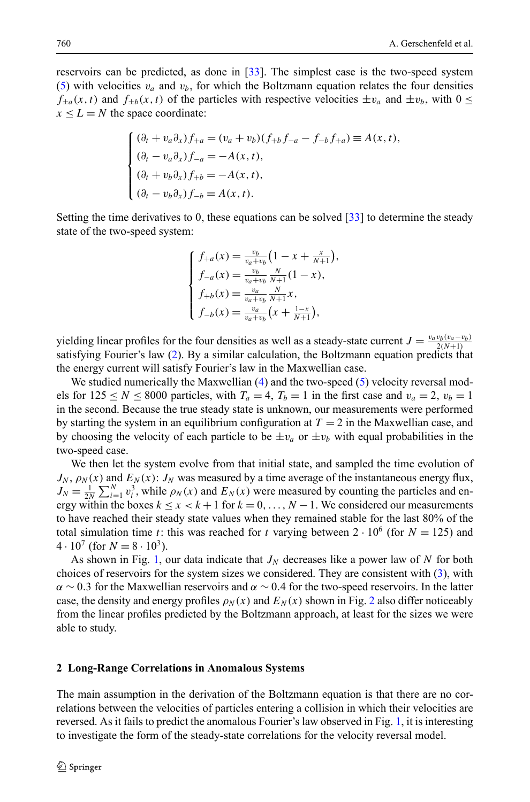reservoirs can be predicted, as done in [\[33\]](#page-9-0). The simplest case is the two-speed system ([5\)](#page-2-0) with velocities  $v_a$  and  $v_b$ , for which the Boltzmann equation relates the four densities  $f_{\pm a}(x,t)$  and  $f_{\pm b}(x,t)$  of the particles with respective velocities  $\pm v_a$  and  $\pm v_b$ , with  $0 \leq$  $x \leq L = N$  the space coordinate:

$$
\begin{cases} (\partial_t + v_a \partial_x) f_{+a} = (v_a + v_b)(f_{+b}f_{-a} - f_{-b}f_{+a}) \equiv A(x, t), \\ (\partial_t - v_a \partial_x) f_{-a} = -A(x, t), \\ (\partial_t + v_b \partial_x) f_{+b} = -A(x, t), \\ (\partial_t - v_b \partial_x) f_{-b} = A(x, t). \end{cases}
$$

Setting the time derivatives to 0, these equations can be solved [\[33\]](#page-9-0) to determine the steady state of the two-speed system:

$$
\begin{cases}\nf_{+a}(x) = \frac{v_b}{v_a + v_b} \left(1 - x + \frac{x}{N+1}\right), \\
f_{-a}(x) = \frac{v_b}{v_a + v_b} \frac{N}{N+1} \left(1 - x\right), \\
f_{+b}(x) = \frac{v_a}{v_a + v_b} \frac{N}{N+1} x, \\
f_{-b}(x) = \frac{v_a}{v_a + v_b} \left(x + \frac{1-x}{N+1}\right),\n\end{cases}
$$

yielding linear profiles for the four densities as well as a steady-state current  $J = \frac{v_a v_b(v_a - v_b)}{2(N+1)}$ satisfying Fourier's law ([2](#page-1-0)). By a similar calculation, the Boltzmann equation predicts that the energy current will satisfy Fourier's law in the Maxwellian case.

We studied numerically the Maxwellian [\(4](#page-2-1)) and the two-speed [\(5\)](#page-2-0) velocity reversal models for  $125 \le N \le 8000$  particles, with  $T_a = 4$ ,  $T_b = 1$  in the first case and  $v_a = 2$ ,  $v_b = 1$ in the second. Because the true steady state is unknown, our measurements were performed by starting the system in an equilibrium configuration at  $T = 2$  in the Maxwellian case, and by choosing the velocity of each particle to be  $\pm v_a$  or  $\pm v_b$  with equal probabilities in the two-speed case.

We then let the system evolve from that initial state, and sampled the time evolution of  $J_N$ ,  $\rho_N(x)$  and  $E_N(x)$ :  $J_N$  was measured by a time average of the instantaneous energy flux,  $J_N = \frac{1}{2N} \sum_{i=1}^{N} v_i^3$ , while  $\rho_N(x)$  and  $E_N(x)$  were measured by counting the particles and energy within the boxes  $k \le x < k+1$  for  $k = 0, \ldots, N-1$ . We considered our measurements to have reached their steady state values when they remained stable for the last 80% of the total simulation time *t*: this was reached for *t* varying between  $2 \cdot 10^6$  (for  $N = 125$ ) and  $4 \cdot 10^7$  (for  $N = 8 \cdot 10^3$ ).

As shown in Fig. [1,](#page-4-0) our data indicate that  $J_N$  decreases like a power law of N for both choices of reservoirs for the system sizes we considered. They are consistent with ([3\)](#page-1-1), with *α* ∼ 0*.*3 for the Maxwellian reservoirs and *α* ∼ 0*.*4 for the two-speed reservoirs. In the latter case, the density and energy profiles  $\rho_N(x)$  and  $E_N(x)$  shown in Fig. [2](#page-4-1) also differ noticeably from the linear profiles predicted by the Boltzmann approach, at least for the sizes we were able to study.

#### **2 Long-Range Correlations in Anomalous Systems**

The main assumption in the derivation of the Boltzmann equation is that there are no correlations between the velocities of particles entering a collision in which their velocities are reversed. As it fails to predict the anomalous Fourier's law observed in Fig. [1,](#page-4-0) it is interesting to investigate the form of the steady-state correlations for the velocity reversal model.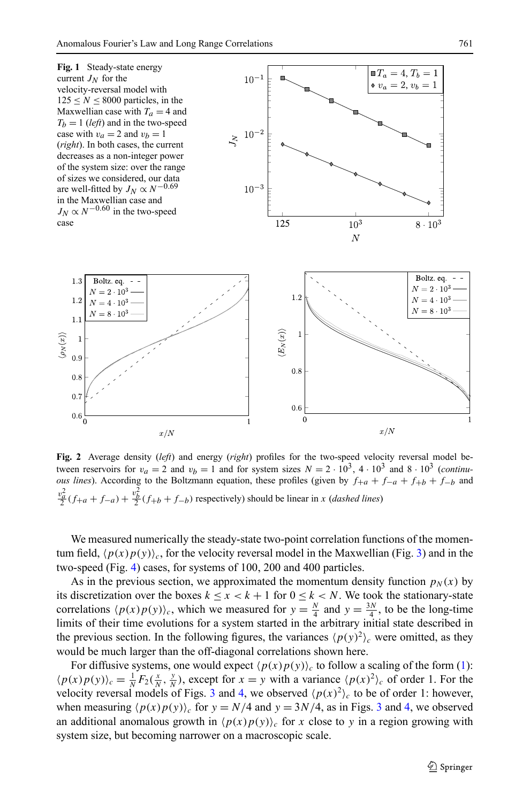<span id="page-4-0"></span>

<span id="page-4-1"></span>**Fig. 2** Average density (*left*) and energy (*right*) profiles for the two-speed velocity reversal model between reservoirs for  $v_a = 2$  and  $v_b = 1$  and for system sizes  $N = 2 \cdot 10^3$ ,  $4 \cdot 10^3$  and  $8 \cdot 10^3$  (*continuous lines*). According to the Boltzmann equation, these profiles (given by  $f_{+a} + f_{-a} + f_{+b} + f_{-b}$  and  $v_a^2$ *a*  $(f_{+a} + f_{-a}) +$  $\frac{2b}{2}(f_{+b} + f_{-b})$  respectively) should be linear in *x* (*dashed lines*)

We measured numerically the steady-state two-point correlation functions of the momentum field,  $\langle p(x)p(y)\rangle_c$ , for the velocity reversal model in the Maxwellian (Fig. [3](#page-5-0)) and in the two-speed (Fig. [4](#page-5-1)) cases, for systems of 100, 200 and 400 particles.

As in the previous section, we approximated the momentum density function  $p_N(x)$  by its discretization over the boxes  $k \leq x < k + 1$  for  $0 \leq k < N$ . We took the stationary-state correlations  $\langle p(x)p(y)\rangle_c$ , which we measured for  $y = \frac{N}{4}$  and  $y = \frac{3N}{4}$ , to be the long-time limits of their time evolutions for a system started in the arbitrary initial state described in the previous section. In the following figures, the variances  $\langle p(y)^2 \rangle_c$  were omitted, as they would be much larger than the off-diagonal correlations shown here.

For diffusive systems, one would expect  $\langle p(x)p(y) \rangle_c$  to follow a scaling of the form [\(1\)](#page-0-0):  $\langle p(x)p(y)\rangle_c = \frac{1}{N}F_2(\frac{x}{N},\frac{y}{N})$ , except for  $x = y$  with a variance  $\langle p(x)^2\rangle_c$  of order 1. For the velocity reversal models of Figs. [3](#page-5-0) and [4](#page-5-1), we observed  $\langle p(x)^2 \rangle_c$  to be of order 1: however, when measuring  $\langle p(x)p(y) \rangle_c$  for  $y = N/4$  $y = N/4$  and  $y = 3N/4$  $y = 3N/4$  $y = 3N/4$ , as in Figs. 3 and 4, we observed an additional anomalous growth in  $\langle p(x)p(y) \rangle_c$  for *x* close to *y* in a region growing with system size, but becoming narrower on a macroscopic scale.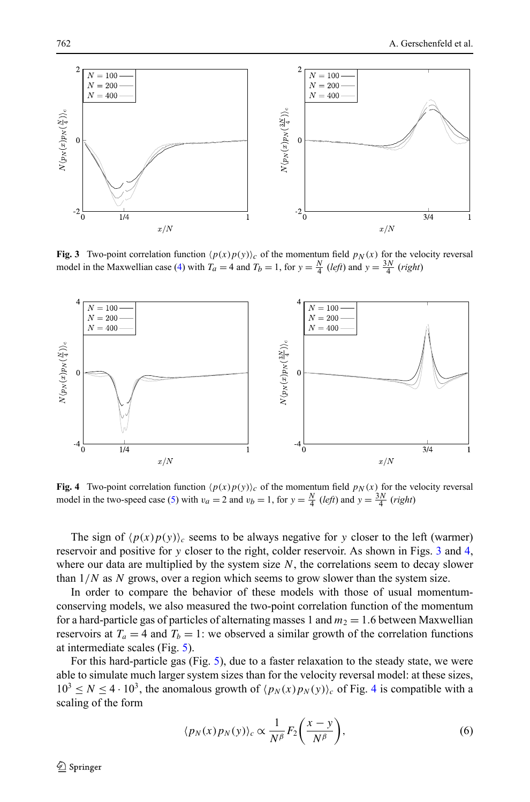<span id="page-5-0"></span>

**Fig. 3** Two-point correlation function  $\langle p(x)p(y)\rangle_c$  of the momentum field  $p_N(x)$  for the velocity reversal model in the Maxwellian case [\(4](#page-2-1)) with  $T_a = 4$  and  $T_b = 1$ , for  $y = \frac{N}{4}$  (*left*) and  $y = \frac{3N}{4}$  (*right*)

<span id="page-5-1"></span>

**Fig. 4** Two-point correlation function  $\langle p(x)p(y)\rangle_c$  of the momentum field  $p_N(x)$  for the velocity reversal model in the two-speed case ([5\)](#page-2-0) with  $v_a = 2$  and  $v_b = 1$ , for  $y = \frac{N}{4}$  (*left*) and  $y = \frac{3N}{4}$  (*right*)

The sign of  $\langle p(x)p(y) \rangle_c$  seems to be always negative for *y* closer to the left (warmer) reservoir and positive for *y* closer to the right, colder reservoir. As shown in Figs. [3](#page-5-0) and [4](#page-5-1), where our data are multiplied by the system size  $N$ , the correlations seem to decay slower than 1*/N* as *N* grows, over a region which seems to grow slower than the system size.

In order to compare the behavior of these models with those of usual momentumconserving models, we also measured the two-point correlation function of the momentum for a hard-particle gas of particles of alternating masses 1 and  $m_2 = 1.6$  between Maxwellian reservoirs at  $T_a = 4$  and  $T_b = 1$ : we observed a similar growth of the correlation functions at intermediate scales (Fig. [5\)](#page-6-0).

For this hard-particle gas (Fig. [5](#page-6-0)), due to a faster relaxation to the steady state, we were able to simulate much larger system sizes than for the velocity reversal model: at these sizes,  $10^3 \le N \le 4 \cdot 10^3$  $10^3 \le N \le 4 \cdot 10^3$  $10^3 \le N \le 4 \cdot 10^3$ , the anomalous growth of  $\langle p_N(x) p_N(y) \rangle_c$  of Fig. 4 is compatible with a scaling of the form

$$
\langle p_N(x) p_N(y) \rangle_c \propto \frac{1}{N^{\beta}} F_2\bigg(\frac{x-y}{N^{\beta}}\bigg),\tag{6}
$$

 $\mathcal{D}$  Springer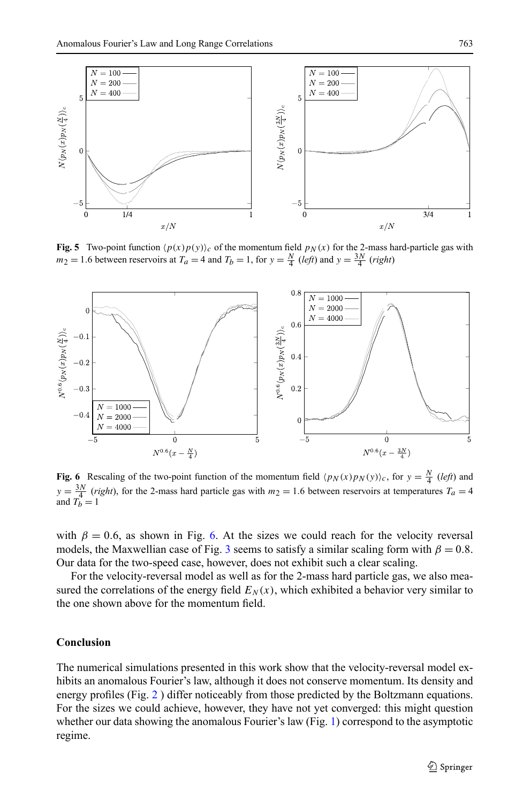<span id="page-6-0"></span>

**Fig. 5** Two-point function  $\langle p(x)p(y)\rangle_c$  of the momentum field  $p_N(x)$  for the 2-mass hard-particle gas with  $m_2 = 1.6$  between reservoirs at  $T_a = 4$  and  $T_b = 1$ , for  $y = \frac{N}{4}$  (*left*) and  $y = \frac{3N}{4}$  (*right*)



<span id="page-6-1"></span>**Fig. 6** Rescaling of the two-point function of the momentum field  $\langle p_N(x)p_N(y)\rangle_c$ , for  $y = \frac{N}{4}$  (*left*) and  $y = \frac{3N}{4}$  (*right*), for the 2-mass hard particle gas with  $m_2 = 1.6$  between reservoirs at temperatures  $T_a = 4$  and  $T_b = 1$ 

with  $\beta = 0.6$ , as shown in Fig. [6.](#page-6-1) At the sizes we could reach for the velocity reversal models, the Maxwellian case of Fig. [3](#page-5-0) seems to satisfy a similar scaling form with  $\beta = 0.8$ . Our data for the two-speed case, however, does not exhibit such a clear scaling.

For the velocity-reversal model as well as for the 2-mass hard particle gas, we also measured the correlations of the energy field  $E<sub>N</sub>(x)$ , which exhibited a behavior very similar to the one shown above for the momentum field.

### **Conclusion**

The numerical simulations presented in this work show that the velocity-reversal model exhibits an anomalous Fourier's law, although it does not conserve momentum. Its density and energy profiles (Fig. [2](#page-4-1) ) differ noticeably from those predicted by the Boltzmann equations. For the sizes we could achieve, however, they have not yet converged: this might question whether our data showing the anomalous Fourier's law (Fig. [1\)](#page-4-0) correspond to the asymptotic regime.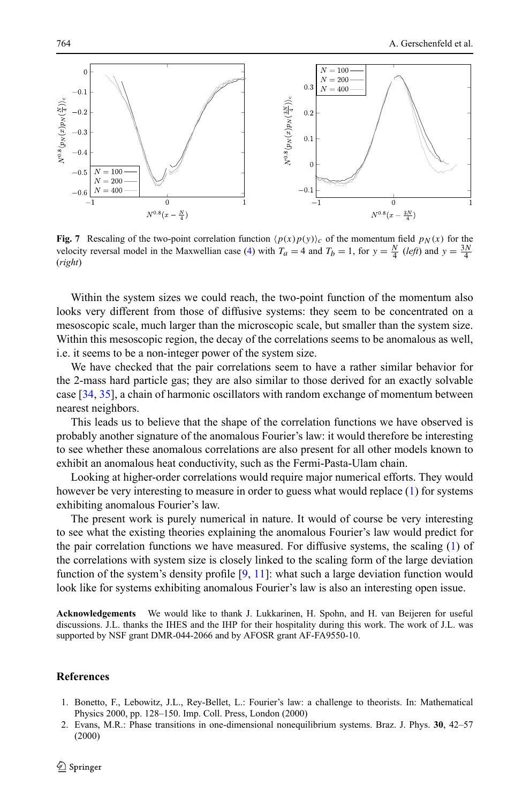

**Fig. 7** Rescaling of the two-point correlation function  $\langle p(x)p(y)\rangle_c$  of the momentum field  $p_N(x)$  for the velocity reversal model in the Maxwellian case ([4\)](#page-2-1) with  $T_a = 4$  and  $T_b = 1$ , for  $y = \frac{N}{4}$  (*left*) and  $y = \frac{3N}{4}$ (*right*)

Within the system sizes we could reach, the two-point function of the momentum also looks very different from those of diffusive systems: they seem to be concentrated on a mesoscopic scale, much larger than the microscopic scale, but smaller than the system size. Within this mesoscopic region, the decay of the correlations seems to be anomalous as well, i.e. it seems to be a non-integer power of the system size.

We have checked that the pair correlations seem to have a rather similar behavior for the 2-mass hard particle gas; they are also similar to those derived for an exactly solvable case [\[34,](#page-9-1) [35\]](#page-9-2), a chain of harmonic oscillators with random exchange of momentum between nearest neighbors.

This leads us to believe that the shape of the correlation functions we have observed is probably another signature of the anomalous Fourier's law: it would therefore be interesting to see whether these anomalous correlations are also present for all other models known to exhibit an anomalous heat conductivity, such as the Fermi-Pasta-Ulam chain.

Looking at higher-order correlations would require major numerical efforts. They would however be very interesting to measure in order to guess what would replace [\(1](#page-0-0)) for systems exhibiting anomalous Fourier's law.

The present work is purely numerical in nature. It would of course be very interesting to see what the existing theories explaining the anomalous Fourier's law would predict for the pair correlation functions we have measured. For diffusive systems, the scaling ([1](#page-0-0)) of the correlations with system size is closely linked to the scaling form of the large deviation function of the system's density profile [[9,](#page-8-3) [11](#page-8-4)]: what such a large deviation function would look like for systems exhibiting anomalous Fourier's law is also an interesting open issue.

<span id="page-7-1"></span><span id="page-7-0"></span>**Acknowledgements** We would like to thank J. Lukkarinen, H. Spohn, and H. van Beijeren for useful discussions. J.L. thanks the IHES and the IHP for their hospitality during this work. The work of J.L. was supported by NSF grant DMR-044-2066 and by AFOSR grant AF-FA9550-10.

#### **References**

- 1. Bonetto, F., Lebowitz, J.L., Rey-Bellet, L.: Fourier's law: a challenge to theorists. In: Mathematical Physics 2000, pp. 128–150. Imp. Coll. Press, London (2000)
- 2. Evans, M.R.: Phase transitions in one-dimensional nonequilibrium systems. Braz. J. Phys. **30**, 42–57 (2000)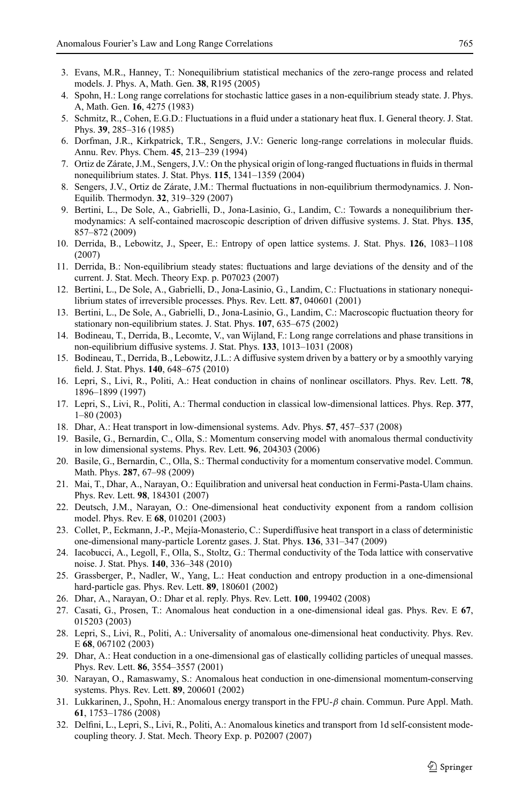- <span id="page-8-2"></span><span id="page-8-1"></span><span id="page-8-0"></span>3. Evans, M.R., Hanney, T.: Nonequilibrium statistical mechanics of the zero-range process and related models. J. Phys. A, Math. Gen. **38**, R195 (2005)
- <span id="page-8-3"></span>4. Spohn, H.: Long range correlations for stochastic lattice gases in a non-equilibrium steady state. J. Phys. A, Math. Gen. **16**, 4275 (1983)
- 5. Schmitz, R., Cohen, E.G.D.: Fluctuations in a fluid under a stationary heat flux. I. General theory. J. Stat. Phys. **39**, 285–316 (1985)
- 6. Dorfman, J.R., Kirkpatrick, T.R., Sengers, J.V.: Generic long-range correlations in molecular fluids. Annu. Rev. Phys. Chem. **45**, 213–239 (1994)
- <span id="page-8-4"></span>7. Ortiz de Zárate, J.M., Sengers, J.V.: On the physical origin of long-ranged fluctuations in fluids in thermal nonequilibrium states. J. Stat. Phys. **115**, 1341–1359 (2004)
- <span id="page-8-5"></span>8. Sengers, J.V., Ortiz de Zárate, J.M.: Thermal fluctuations in non-equilibrium thermodynamics. J. Non-Equilib. Thermodyn. **32**, 319–329 (2007)
- <span id="page-8-6"></span>9. Bertini, L., De Sole, A., Gabrielli, D., Jona-Lasinio, G., Landim, C.: Towards a nonequilibrium thermodynamics: A self-contained macroscopic description of driven diffusive systems. J. Stat. Phys. **135**, 857–872 (2009)
- <span id="page-8-8"></span><span id="page-8-7"></span>10. Derrida, B., Lebowitz, J., Speer, E.: Entropy of open lattice systems. J. Stat. Phys. **126**, 1083–1108 (2007)
- <span id="page-8-9"></span>11. Derrida, B.: Non-equilibrium steady states: fluctuations and large deviations of the density and of the current. J. Stat. Mech. Theory Exp. p. P07023 (2007)
- 12. Bertini, L., De Sole, A., Gabrielli, D., Jona-Lasinio, G., Landim, C.: Fluctuations in stationary nonequilibrium states of irreversible processes. Phys. Rev. Lett. **87**, 040601 (2001)
- 13. Bertini, L., De Sole, A., Gabrielli, D., Jona-Lasinio, G., Landim, C.: Macroscopic fluctuation theory for stationary non-equilibrium states. J. Stat. Phys. **107**, 635–675 (2002)
- <span id="page-8-13"></span>14. Bodineau, T., Derrida, B., Lecomte, V., van Wijland, F.: Long range correlations and phase transitions in non-equilibrium diffusive systems. J. Stat. Phys. **133**, 1013–1031 (2008)
- 15. Bodineau, T., Derrida, B., Lebowitz, J.L.: A diffusive system driven by a battery or by a smoothly varying field. J. Stat. Phys. **140**, 648–675 (2010)
- 16. Lepri, S., Livi, R., Politi, A.: Heat conduction in chains of nonlinear oscillators. Phys. Rev. Lett. **78**, 1896–1899 (1997)
- 17. Lepri, S., Livi, R., Politi, A.: Thermal conduction in classical low-dimensional lattices. Phys. Rep. **377**, 1–80 (2003)
- 18. Dhar, A.: Heat transport in low-dimensional systems. Adv. Phys. **57**, 457–537 (2008)
- <span id="page-8-10"></span>19. Basile, G., Bernardin, C., Olla, S.: Momentum conserving model with anomalous thermal conductivity in low dimensional systems. Phys. Rev. Lett. **96**, 204303 (2006)
- <span id="page-8-11"></span>20. Basile, G., Bernardin, C., Olla, S.: Thermal conductivity for a momentum conservative model. Commun. Math. Phys. **287**, 67–98 (2009)
- <span id="page-8-12"></span>21. Mai, T., Dhar, A., Narayan, O.: Equilibration and universal heat conduction in Fermi-Pasta-Ulam chains. Phys. Rev. Lett. **98**, 184301 (2007)
- <span id="page-8-14"></span>22. Deutsch, J.M., Narayan, O.: One-dimensional heat conductivity exponent from a random collision model. Phys. Rev. E **68**, 010201 (2003)
- 23. Collet, P., Eckmann, J.-P., Mejía-Monasterio, C.: Superdiffusive heat transport in a class of deterministic one-dimensional many-particle Lorentz gases. J. Stat. Phys. **136**, 331–347 (2009)
- <span id="page-8-15"></span>24. Iacobucci, A., Legoll, F., Olla, S., Stoltz, G.: Thermal conductivity of the Toda lattice with conservative noise. J. Stat. Phys. **140**, 336–348 (2010)
- <span id="page-8-16"></span>25. Grassberger, P., Nadler, W., Yang, L.: Heat conduction and entropy production in a one-dimensional hard-particle gas. Phys. Rev. Lett. **89**, 180601 (2002)
- <span id="page-8-17"></span>26. Dhar, A., Narayan, O.: Dhar et al. reply. Phys. Rev. Lett. **100**, 199402 (2008)
- <span id="page-8-18"></span>27. Casati, G., Prosen, T.: Anomalous heat conduction in a one-dimensional ideal gas. Phys. Rev. E **67**, 015203 (2003)
- 28. Lepri, S., Livi, R., Politi, A.: Universality of anomalous one-dimensional heat conductivity. Phys. Rev. E **68**, 067102 (2003)
- 29. Dhar, A.: Heat conduction in a one-dimensional gas of elastically colliding particles of unequal masses. Phys. Rev. Lett. **86**, 3554–3557 (2001)
- 30. Narayan, O., Ramaswamy, S.: Anomalous heat conduction in one-dimensional momentum-conserving systems. Phys. Rev. Lett. **89**, 200601 (2002)
- 31. Lukkarinen, J., Spohn, H.: Anomalous energy transport in the FPU-*β* chain. Commun. Pure Appl. Math. **61**, 1753–1786 (2008)
- 32. Delfini, L., Lepri, S., Livi, R., Politi, A.: Anomalous kinetics and transport from 1d self-consistent modecoupling theory. J. Stat. Mech. Theory Exp. p. P02007 (2007)